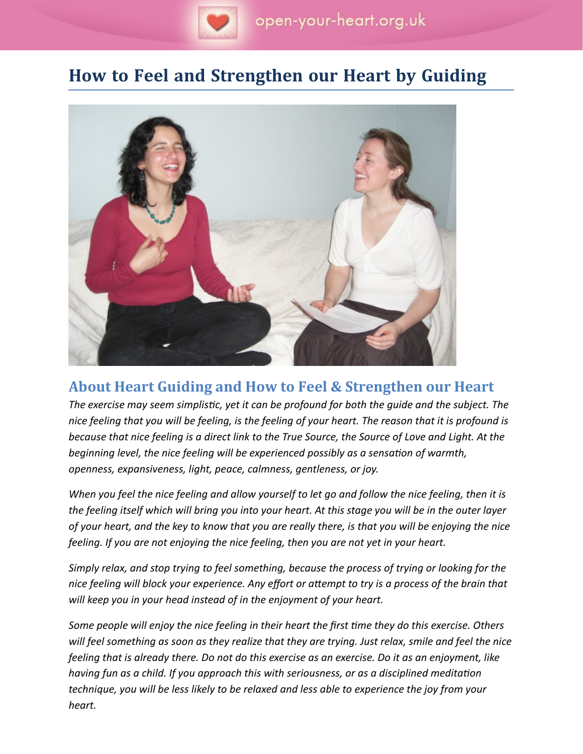

# **How to Feel and Strengthen our Heart by Guiding**



## **About Heart Guiding and How to Feel & Strengthen our Heart**

*The exercise may seem simplistc, yet it can be profound for both the guide and the subject. The nice feeling that you will be feeling, is the feeling of your heart. The reason that it is profound is because that nice feeling is a direct link to the True Source, the Source of Love and Light. At the beginning level, the nice feeling will be experienced possibly as a sensaton of warmth, openness, expansiveness, light, peace, calmness, gentleness, or joy.*

*When you feel the nice feeling and allow yourself to let go and follow the nice feeling, then it is the feeling itself which will bring you into your heart. At this stage you will be in the outer layer of your heart, and the key to know that you are really there, is that you will be enjoying the nice feeling. If you are not enjoying the nice feeling, then you are not yet in your heart.*

*Simply relax, and stop trying to feel something, because the process of trying or looking for the* nice feeling will block your experience. Any effort or attempt to try is a process of the brain that *will keep you in your head instead of in the enjoyment of your heart.*

*Some people will enjoy the nice feeling in their heart the frst tme they do this exercise. Others will feel something as soon as they realize that they are trying. Just relax, smile and feel the nice feeling that is already there. Do not do this exercise as an exercise. Do it as an enjoyment, like having fun as a child. If you approach this with seriousness, or as a disciplined meditaton technique, you will be less likely to be relaxed and less able to experience the joy from your heart.*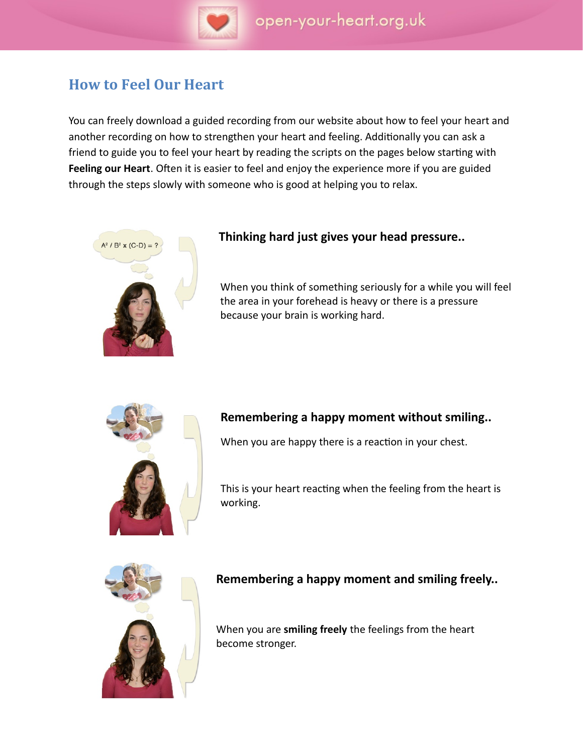

# **How to Feel Our Heart**

You can freely download a guided recording from our website about how to feel your heart and another recording on how to strengthen your heart and feeling. Additonally you can ask a friend to guide you to feel your heart by reading the scripts on the pages below starting with Feeling our Heart. Often it is easier to feel and enjoy the experience more if you are guided through the steps slowly with someone who is good at helping you to relax.



### **Thinking hard just gives your head pressure..**

When you think of something seriously for a while you will feel the area in your forehead is heavy or there is a pressure because your brain is working hard.



### **Remembering a happy moment without smiling..**

When you are happy there is a reaction in your chest.

This is your heart reacting when the feeling from the heart is working.



### **Remembering a happy moment and smiling freely..**

When you are **smiling freely** the feelings from the heart become stronger.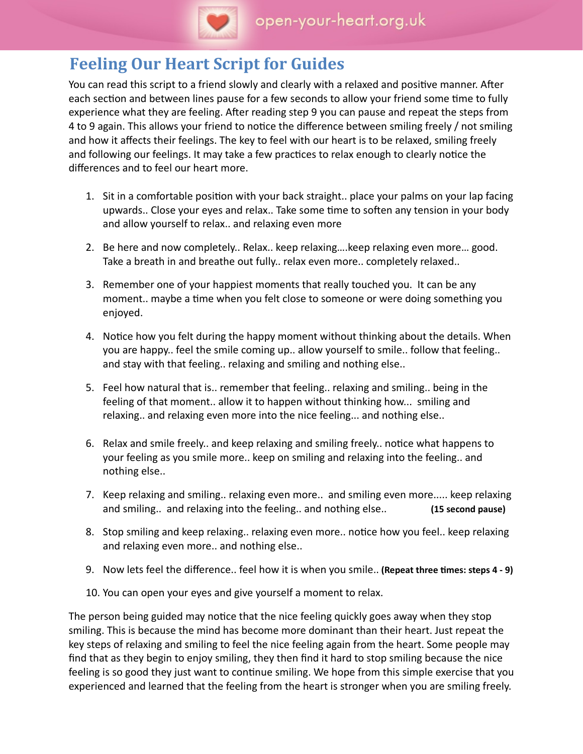

# **Feeling Our Heart Script for Guides**

You can read this script to a friend slowly and clearly with a relaxed and positve manner. Afer each section and between lines pause for a few seconds to allow your friend some time to fully experience what they are feeling. Afer reading step 9 you can pause and repeat the steps from 4 to 9 again. This allows your friend to notice the difference between smiling freely / not smiling and how it affects their feelings. The key to feel with our heart is to be relaxed, smiling freely and following our feelings. It may take a few practices to relax enough to clearly notice the diferences and to feel our heart more.

- 1. Sit in a comfortable positon with your back straight.. place your palms on your lap facing upwards.. Close your eyes and relax.. Take some tme to sofen any tension in your body and allow yourself to relax.. and relaxing even more
- 2. Be here and now completely.. Relax.. keep relaxing….keep relaxing even more… good. Take a breath in and breathe out fully.. relax even more.. completely relaxed..
- 3. Remember one of your happiest moments that really touched you. It can be any moment.. maybe a time when you felt close to someone or were doing something you enjoyed.
- 4. Notice how you felt during the happy moment without thinking about the details. When you are happy.. feel the smile coming up.. allow yourself to smile.. follow that feeling.. and stay with that feeling.. relaxing and smiling and nothing else..
- 5. Feel how natural that is.. remember that feeling.. relaxing and smiling.. being in the feeling of that moment.. allow it to happen without thinking how... smiling and relaxing.. and relaxing even more into the nice feeling... and nothing else..
- 6. Relax and smile freely.. and keep relaxing and smiling freely.. notice what happens to your feeling as you smile more.. keep on smiling and relaxing into the feeling.. and nothing else..
- 7. Keep relaxing and smiling.. relaxing even more.. and smiling even more..... keep relaxing and smiling.. and relaxing into the feeling.. and nothing else.. **(15 second pause)**
- 8. Stop smiling and keep relaxing.. relaxing even more.. notice how you feel.. keep relaxing and relaxing even more.. and nothing else..
- 9. Now lets feel the diference.. feel how it is when you smile.. **(Repeat three tmes: steps 4 9)**
- 10. You can open your eyes and give yourself a moment to relax.

The person being guided may notice that the nice feeling quickly goes away when they stop smiling. This is because the mind has become more dominant than their heart. Just repeat the key steps of relaxing and smiling to feel the nice feeling again from the heart. Some people may fnd that as they begin to enjoy smiling, they then fnd it hard to stop smiling because the nice feeling is so good they just want to contnue smiling. We hope from this simple exercise that you experienced and learned that the feeling from the heart is stronger when you are smiling freely.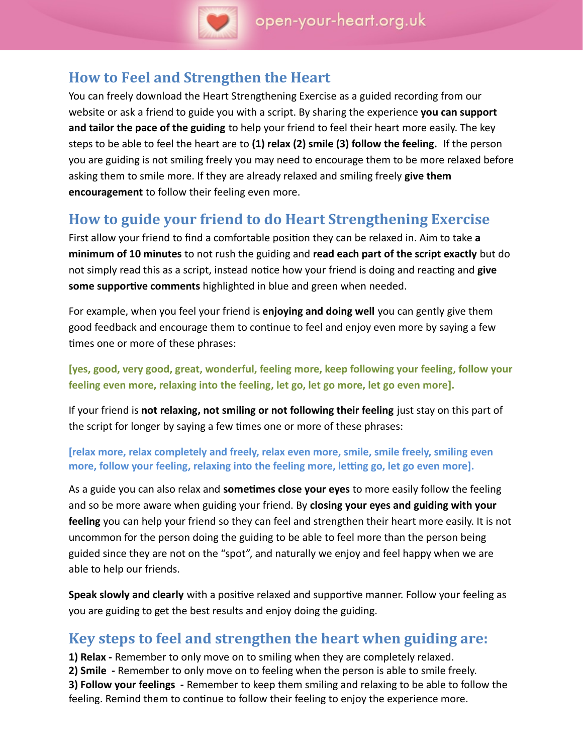

## **How to Feel and Strengthen the Heart**

You can freely download the Heart Strengthening Exercise as a guided recording from our website or ask a friend to guide you with a script. By sharing the experience **you can support and tailor the pace of the guiding** to help your friend to feel their heart more easily. The key steps to be able to feel the heart are to **(1) relax (2) smile (3) follow the feeling.** If the person you are guiding is not smiling freely you may need to encourage them to be more relaxed before asking them to smile more. If they are already relaxed and smiling freely **give them encouragement** to follow their feeling even more.

# **How to guide your friend to do Heart Strengthening Exercise**

First allow your friend to fnd a comfortable positon they can be relaxed in. Aim to take **a minimum of 10 minutes** to not rush the guiding and **read each part of the script exactly** but do not simply read this as a script, instead notice how your friend is doing and reacting and **give** some supportive comments highlighted in blue and green when needed.

For example, when you feel your friend is **enjoying and doing well** you can gently give them good feedback and encourage them to contnue to feel and enjoy even more by saying a few times one or more of these phrases:

**[yes, good, very good, great, wonderful, feeling more, keep following your feeling, follow your feeling even more, relaxing into the feeling, let go, let go more, let go even more].**

If your friend is **not relaxing, not smiling or not following their feeling** just stay on this part of the script for longer by saying a few tmes one or more of these phrases:

#### **[relax more, relax completely and freely, relax even more, smile, smile freely, smiling even** more, follow your feeling, relaxing into the feeling more, letting go, let go even more].

As a guide you can also relax and **sometmes close your eyes** to more easily follow the feeling and so be more aware when guiding your friend. By **closing your eyes and guiding with your feeling** you can help your friend so they can feel and strengthen their heart more easily. It is not uncommon for the person doing the guiding to be able to feel more than the person being guided since they are not on the "spot", and naturally we enjoy and feel happy when we are able to help our friends.

**Speak slowly and clearly** with a positive relaxed and supportive manner. Follow your feeling as you are guiding to get the best results and enjoy doing the guiding.

## **Key steps to feel and strengthen the heart when guiding are:**

**1) Relax -** Remember to only move on to smiling when they are completely relaxed.

**2) Smile -** Remember to only move on to feeling when the person is able to smile freely.

**3) Follow your feelings -** Remember to keep them smiling and relaxing to be able to follow the feeling. Remind them to contnue to follow their feeling to enjoy the experience more.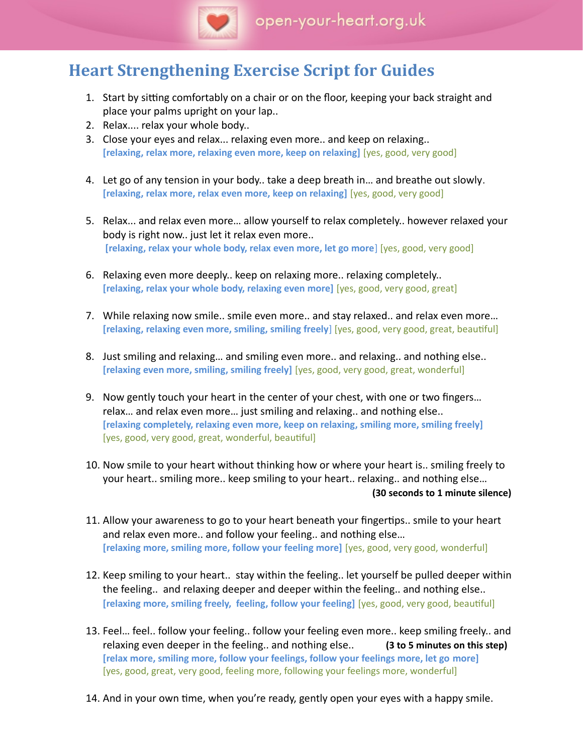

# **Heart Strengthening Exercise Script for Guides**

- 1. Start by sitting comfortably on a chair or on the floor, keeping your back straight and place your palms upright on your lap..
- 2. Relax.... relax your whole body..
- 3. Close your eyes and relax... relaxing even more.. and keep on relaxing.. **[relaxing, relax more, relaxing even more, keep on relaxing]** [yes, good, very good]
- 4. Let go of any tension in your body.. take a deep breath in… and breathe out slowly. **[relaxing, relax more, relax even more, keep on relaxing]** [yes, good, very good]
- 5. Relax... and relax even more… allow yourself to relax completely.. however relaxed your body is right now.. just let it relax even more.. **[relaxing, relax your whole body, relax even more, let go more**] [yes, good, very good]
- 6. Relaxing even more deeply.. keep on relaxing more.. relaxing completely.. **[relaxing, relax your whole body, relaxing even more]** [yes, good, very good, great]
- 7. While relaxing now smile.. smile even more.. and stay relaxed.. and relax even more… **[relaxing, relaxing even more, smiling, smiling freely**] [yes, good, very good, great, beautful]
- 8. Just smiling and relaxing… and smiling even more.. and relaxing.. and nothing else.. **[relaxing even more, smiling, smiling freely]** [yes, good, very good, great, wonderful]
- 9. Now gently touch your heart in the center of your chest, with one or two fngers… relax… and relax even more… just smiling and relaxing.. and nothing else.. **[relaxing completely, relaxing even more, keep on relaxing, smiling more, smiling freely]** [yes, good, very good, great, wonderful, beautiful]
- 10. Now smile to your heart without thinking how or where your heart is.. smiling freely to your heart.. smiling more.. keep smiling to your heart.. relaxing.. and nothing else… **(30 seconds to 1 minute silence)**
- 11. Allow your awareness to go to your heart beneath your fingertips.. smile to your heart and relax even more.. and follow your feeling.. and nothing else… **[relaxing more, smiling more, follow your feeling more]** [yes, good, very good, wonderful]
- 12. Keep smiling to your heart.. stay within the feeling.. let yourself be pulled deeper within the feeling.. and relaxing deeper and deeper within the feeling.. and nothing else.. **[relaxing more, smiling freely, feeling, follow your feeling]** [yes, good, very good, beautful]
- 13. Feel… feel.. follow your feeling.. follow your feeling even more.. keep smiling freely.. and relaxing even deeper in the feeling.. and nothing else.. **(3 to 5 minutes on this step) [relax more, smiling more, follow your feelings, follow your feelings more, let go more]** [yes, good, great, very good, feeling more, following your feelings more, wonderful]
- 14. And in your own tme, when you're ready, gently open your eyes with a happy smile.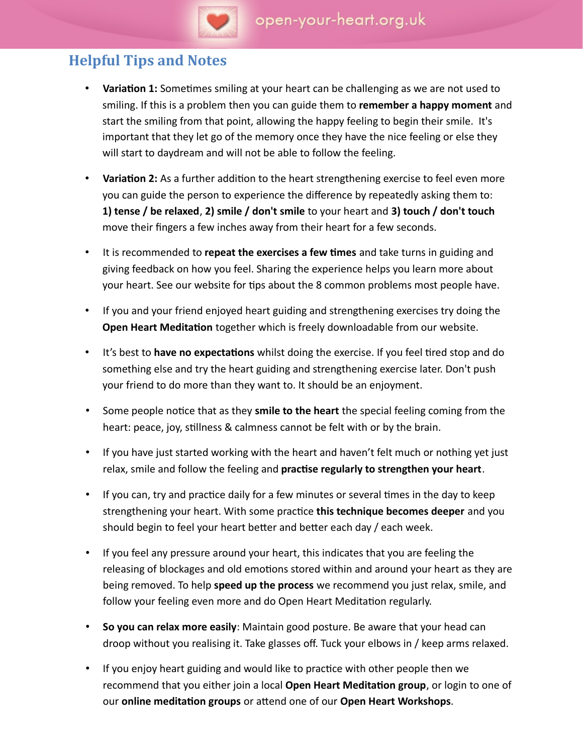

### **Helpful Tips and Notes**

- **Variation 1:** Sometimes smiling at your heart can be challenging as we are not used to smiling. If this is a problem then you can guide them to **remember a happy moment** and start the smiling from that point, allowing the happy feeling to begin their smile. It's important that they let go of the memory once they have the nice feeling or else they will start to daydream and will not be able to follow the feeling.
- **Variaton 2:** As a further additon to the heart strengthening exercise to feel even more you can guide the person to experience the diference by repeatedly asking them to: **1) tense / be relaxed**, **2) smile / don't smile** to your heart and **3) touch / don't touch** move their fngers a few inches away from their heart for a few seconds.
- It is recommended to **repeat the exercises a few tmes** and take turns in guiding and giving feedback on how you feel. Sharing the experience helps you learn more about your heart. See our website for tips about the 8 common problems most people have.
- If you and your friend enjoyed heart guiding and strengthening exercises try doing the **Open Heart Meditaton** together which is freely downloadable from our website.
- It's best to **have no expectations** whilst doing the exercise. If you feel tired stop and do something else and try the heart guiding and strengthening exercise later. Don't push your friend to do more than they want to. It should be an enjoyment.
- Some people notice that as they smile to the heart the special feeling coming from the heart: peace, joy, stillness & calmness cannot be felt with or by the brain.
- If you have just started working with the heart and haven't felt much or nothing yet just relax, smile and follow the feeling and **practse regularly to strengthen your heart**.
- If you can, try and practice daily for a few minutes or several times in the day to keep strengthening your heart. With some practce **this technique becomes deeper** and you should begin to feel your heart better and better each day / each week.
- If you feel any pressure around your heart, this indicates that you are feeling the releasing of blockages and old emotions stored within and around your heart as they are being removed. To help **speed up the process** we recommend you just relax, smile, and follow your feeling even more and do Open Heart Meditation regularly.
- **So you can relax more easily**: Maintain good posture. Be aware that your head can droop without you realising it. Take glasses of. Tuck your elbows in / keep arms relaxed.
- If you enjoy heart guiding and would like to practice with other people then we recommend that you either join a local **Open Heart Meditaton group**, or login to one of our **online meditaton groups** or atend one of our **Open Heart Workshops**.